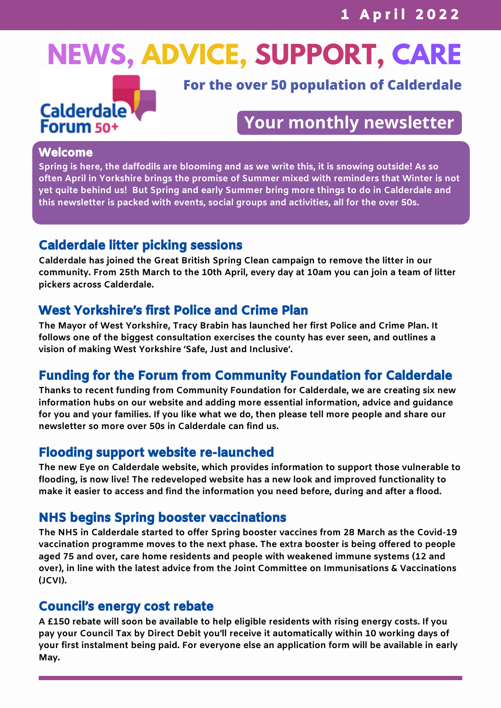# **NEWS, ADVICE, SUPPORT, CARE**



**For the over 50 population of Calderdale**

## **Your monthly newsletter**

#### Welcome

**Spring is here, the daffodils are blooming and as we write this, it is snowing outside! As so often April in Yorkshire brings the promise of Summer mixed with reminders that Winter is not yet quite behind us! But Spring and early Summer bring more things to do in Calderdale and this newsletter is packed with events, social groups and activities, all for the over 50s.**

## Calderdale litter picking sessions

**Calderdale has joined the Great British Spring Clean campaign to remove the litter in our** community. From 25th March to the 10th April, every day at 10am you can join a team of litter **pickers across Calderdale.**

## West Yorkshire's first Police and Crime Plan

**The Mayor of West Yorkshire, Tracy Brabin has launched her first Police and Crime Plan. It follows one of the biggest consultation exercises the county has ever seen, and outlines a vision of making West Yorkshire 'Safe, Just and Inclusive'.**

## Funding for the Forum from Community Foundation for Calderdale

**Thanks to recent funding from Community Foundation for Calderdale, we are creating six new information hubs on our website and adding more essential information, advice and guidance** for you and your families. If you like what we do, then please tell more people and share our **newsletter so more over 50s in Calderdale can find us.**

## Flooding support website re-launched

**The new Eye on Calderdale website, which provides information to support those vulnerable to flooding, is now live! The redeveloped website has a new look and improved functionality to make it easier to access and find the information you need before, during and after a flood.**

## NHS begins Spring booster vaccinations

**The NHS in Calderdale started to offer Spring booster vaccines from 28 March as the Covid-19 vaccination programme moves to the next phase. The extra booster is being offered to people aged 75 and over, care home residents and people with weakened immune systems (12 and over), in line with the latest advice from the Joint Committee on Immunisations & Vaccinations (JCVI).**

#### Council's energy cost rebate

**A £150 rebate will soon be available to help eligible residents with rising energy costs. If you pay your Council Tax by Direct Debit you'll receive it automatically within 10 working days of your first instalment being paid. For everyone else an application form will be available in early May.**